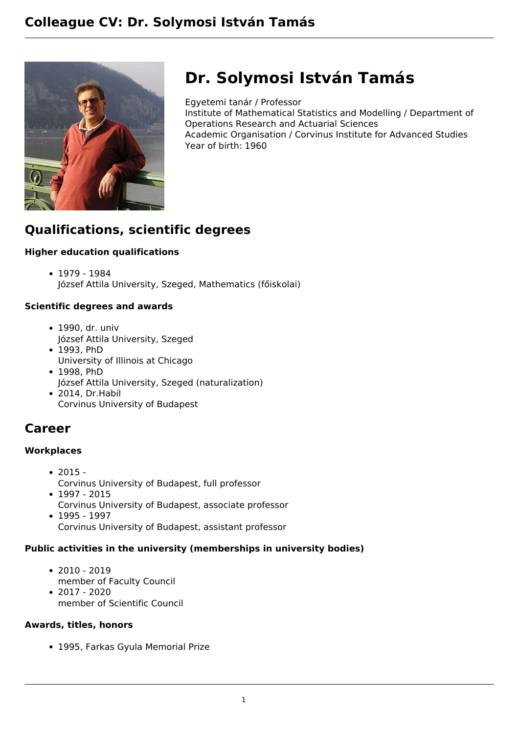

# **Dr. Solymosi István Tamás**

Egyetemi tanár / Professor Institute of Mathematical Statistics and Modelling / Department of Operations Research and Actuarial Sciences Academic Organisation / Corvinus Institute for Advanced Studies Year of birth: 1960

# **Qualifications, scientific degrees**

# **Higher education qualifications**

1979 - 1984 József Attila University, Szeged, Mathematics (főiskolai)

### **Scientific degrees and awards**

- 1990, dr. univ József Attila University, Szeged
- 1993. PhD University of Illinois at Chicago
- 1998, PhD József Attila University, Szeged (naturalization)
- 2014, Dr.Habil Corvinus University of Budapest

# **Career**

### **Workplaces**

- $2015 -$ Corvinus University of Budapest, full professor
- $1997 2015$ Corvinus University of Budapest, associate professor
- 1995 1997 Corvinus University of Budapest, assistant professor

# **Public activities in the university (memberships in university bodies)**

 $• 2010 - 2019$ member of Faculty Council  $• 2017 - 2020$ 

member of Scientific Council

### **Awards, titles, honors**

1995, Farkas Gyula Memorial Prize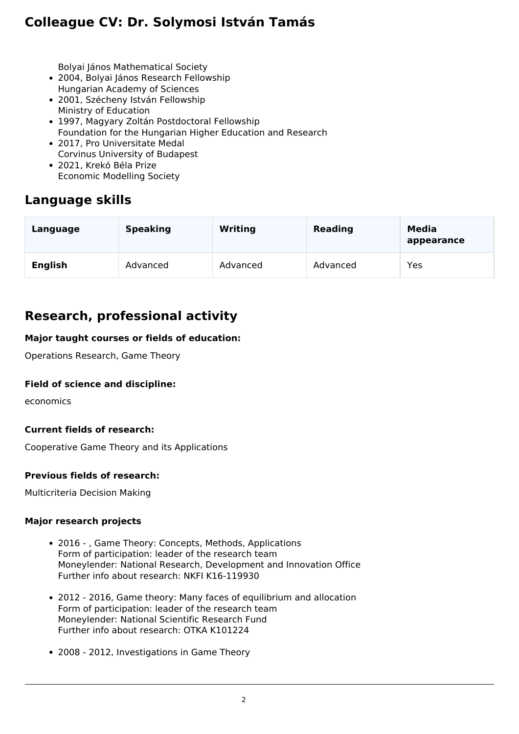# **Colleague CV: Dr. Solymosi István Tamás**

Bolyai János Mathematical Society

- 2004, Bolyai János Research Fellowship Hungarian Academy of Sciences
- 2001, Szécheny István Fellowship Ministry of Education
- 1997, Magyary Zoltán Postdoctoral Fellowship Foundation for the Hungarian Higher Education and Research
- 2017, Pro Universitate Medal Corvinus University of Budapest
- 2021, Krekó Béla Prize Economic Modelling Society

# **Language skills**

| Language       | <b>Speaking</b> | <b>Writing</b> | <b>Reading</b> | Media<br>appearance |
|----------------|-----------------|----------------|----------------|---------------------|
| <b>English</b> | Advanced        | Advanced       | Advanced       | Yes                 |

# **Research, professional activity**

### **Major taught courses or fields of education:**

Operations Research, Game Theory

### **Field of science and discipline:**

economics

### **Current fields of research:**

Cooperative Game Theory and its Applications

#### **Previous fields of research:**

Multicriteria Decision Making

#### **Major research projects**

- 2016 , Game Theory: Concepts, Methods, Applications Form of participation: leader of the research team Moneylender: National Research, Development and Innovation Office Further info about research: NKFI K16-119930
- 2012 2016, Game theory: Many faces of equilibrium and allocation Form of participation: leader of the research team Moneylender: National Scientific Research Fund Further info about research: OTKA K101224
- 2008 2012, Investigations in Game Theory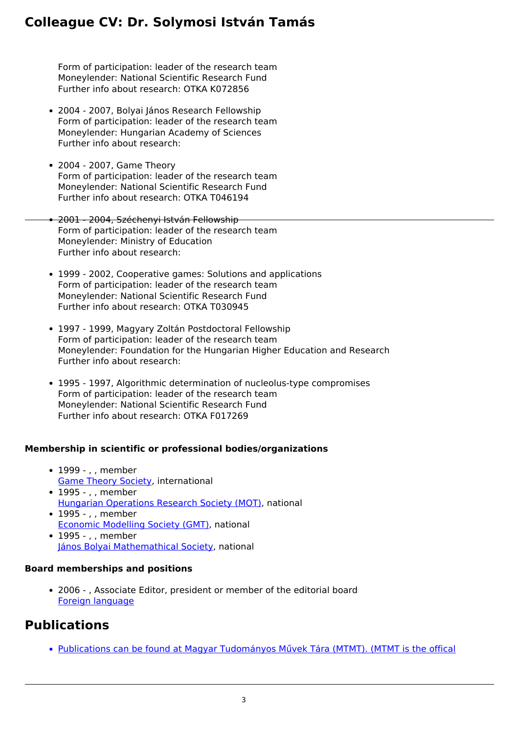# **Colleague CV: Dr. Solymosi István Tamás**

Form of participation: leader of the research team Moneylender: National Scientific Research Fund Further info about research: OTKA K072856

- 2004 2007, Bolyai János Research Fellowship Form of participation: leader of the research team Moneylender: Hungarian Academy of Sciences Further info about research:
- 2004 2007, Game Theory Form of participation: leader of the research team Moneylender: National Scientific Research Fund Further info about research: OTKA T046194
- 2001 2004, Széchenyi István Fellowship Form of participation: leader of the research team Moneylender: Ministry of Education Further info about research:
	- 1999 2002, Cooperative games: Solutions and applications Form of participation: leader of the research team Moneylender: National Scientific Research Fund Further info about research: OTKA T030945
	- 1997 1999, Magyary Zoltán Postdoctoral Fellowship Form of participation: leader of the research team Moneylender: Foundation for the Hungarian Higher Education and Research Further info about research:
	- 1995 1997, Algorithmic determination of nucleolus-type compromises Form of participation: leader of the research team Moneylender: National Scientific Research Fund Further info about research: OTKA F017269

### **Membership in scientific or professional bodies/organizations**

- 1999 , , member [Game Theory Society](https://gametheorysociety.org/), international
- 1995 , , member [Hungarian Operations Research Society \(MOT\),](http://www.mot.org.hu/) national
- 1995 . . member [Economic Modelling Society \(GMT\),](https://www.gazdasagmodellezes.hu/) national • 1995 - , , member
- [János Bolyai Mathemathical Society,](https://www.bolyai.hu/) national

### **Board memberships and positions**

2006 - , Associate Editor, president or member of the editorial board [Foreign language](https://www.springer.com/journal/182/editors)

# **Publications**

[Publications can be found at Magyar Tudományos Művek Tára \(MTMT\). \(MTMT is the offical](https://m2.mtmt.hu/gui2/?type=authors&mode=browse&sel=10008079)